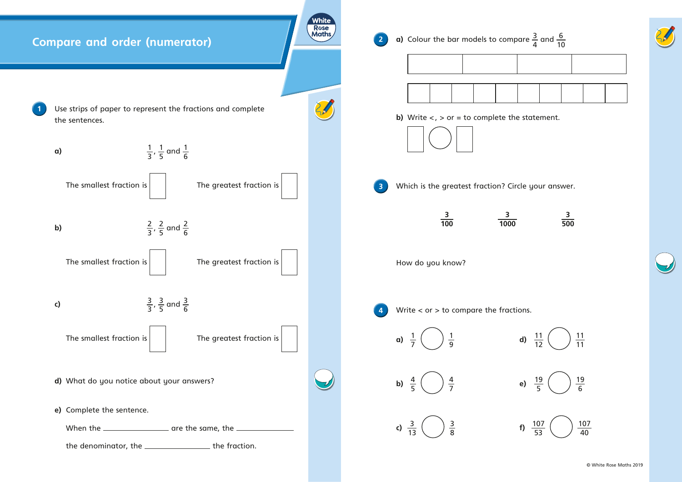